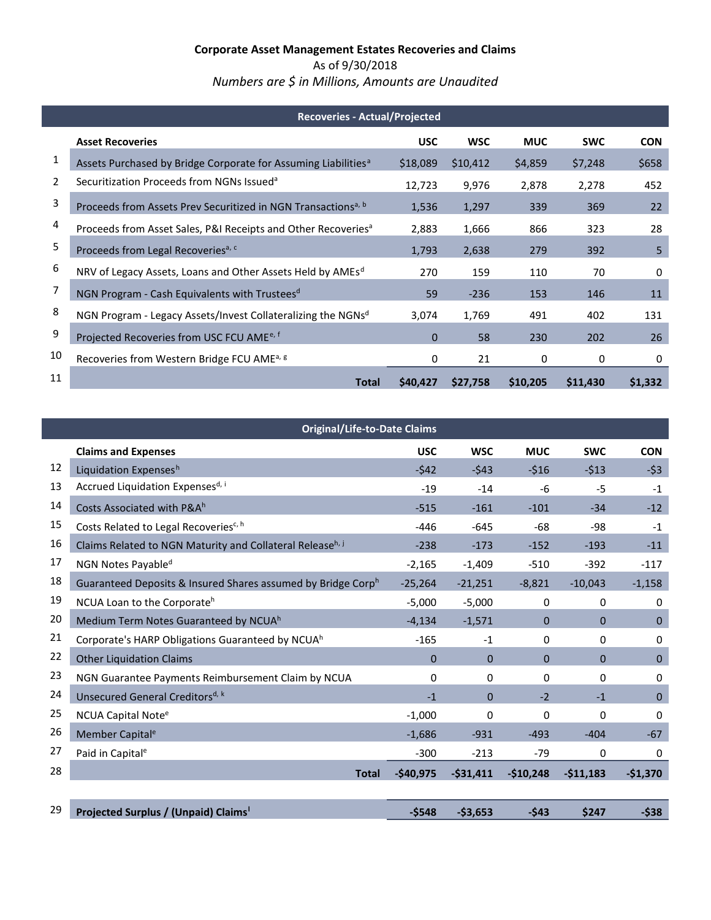*Numbers are \$ in Millions, Amounts are Unaudited*

| <b>Recoveries - Actual/Projected</b> |                                                                            |            |            |            |            |            |  |
|--------------------------------------|----------------------------------------------------------------------------|------------|------------|------------|------------|------------|--|
|                                      | <b>Asset Recoveries</b>                                                    | <b>USC</b> | <b>WSC</b> | <b>MUC</b> | <b>SWC</b> | <b>CON</b> |  |
| 1                                    | Assets Purchased by Bridge Corporate for Assuming Liabilities <sup>a</sup> | \$18,089   | \$10,412   | \$4,859    | \$7,248    | \$658      |  |
| 2                                    | Securitization Proceeds from NGNs Issued <sup>a</sup>                      | 12,723     | 9,976      | 2,878      | 2,278      | 452        |  |
| 3                                    | Proceeds from Assets Prev Securitized in NGN Transactions <sup>a, b</sup>  | 1,536      | 1,297      | 339        | 369        | 22         |  |
| 4                                    | Proceeds from Asset Sales, P&I Receipts and Other Recoveries <sup>a</sup>  | 2,883      | 1,666      | 866        | 323        | 28         |  |
| 5                                    | Proceeds from Legal Recoveries <sup>a, c</sup>                             | 1,793      | 2,638      | 279        | 392        | 5          |  |
| 6                                    | NRV of Legacy Assets, Loans and Other Assets Held by AMEs <sup>d</sup>     | 270        | 159        | 110        | 70         | 0          |  |
| 7                                    | NGN Program - Cash Equivalents with Trustees <sup>d</sup>                  | 59         | $-236$     | 153        | 146        | 11         |  |
| 8                                    | NGN Program - Legacy Assets/Invest Collateralizing the NGNsd               | 3,074      | 1,769      | 491        | 402        | 131        |  |
| 9                                    | Projected Recoveries from USC FCU AME <sup>e, f</sup>                      | $\Omega$   | 58         | 230        | 202        | 26         |  |
| 10                                   | Recoveries from Western Bridge FCU AME <sup>a, g</sup>                     | 0          | 21         | 0          | 0          | 0          |  |
| 11                                   | <b>Total</b>                                                               | \$40,427   | \$27,758   | \$10,205   | \$11,430   | \$1,332    |  |

<span id="page-0-0"></span>

|    | <b>Original/Life-to-Date Claims</b>                          |            |             |              |              |              |  |
|----|--------------------------------------------------------------|------------|-------------|--------------|--------------|--------------|--|
|    | <b>Claims and Expenses</b>                                   | <b>USC</b> | <b>WSC</b>  | <b>MUC</b>   | <b>SWC</b>   | <b>CON</b>   |  |
| 12 | Liquidation Expensesh                                        | $-542$     | $-543$      | $-516$       | $-513$       | $-53$        |  |
| 13 | Accrued Liquidation Expensesd, i                             | $-19$      | $-14$       | $-6$         | $-5$         | $-1$         |  |
| 14 | Costs Associated with P&Ah                                   | $-515$     | $-161$      | $-101$       | $-34$        | $-12$        |  |
| 15 | Costs Related to Legal Recoveries <sup>c, h</sup>            | $-446$     | $-645$      | $-68$        | $-98$        | $-1$         |  |
| 16 | Claims Related to NGN Maturity and Collateral Releaseh, j    | $-238$     | $-173$      | $-152$       | $-193$       | $-11$        |  |
| 17 | NGN Notes Payable <sup>d</sup>                               | $-2,165$   | $-1,409$    | $-510$       | $-392$       | $-117$       |  |
| 18 | Guaranteed Deposits & Insured Shares assumed by Bridge Corph | $-25,264$  | $-21,251$   | $-8,821$     | $-10,043$    | $-1,158$     |  |
| 19 | NCUA Loan to the Corporateh                                  | $-5,000$   | $-5,000$    | 0            | 0            | 0            |  |
| 20 | Medium Term Notes Guaranteed by NCUA <sup>h</sup>            | $-4,134$   | $-1,571$    | $\Omega$     | $\mathbf{0}$ | $\mathbf{0}$ |  |
| 21 | Corporate's HARP Obligations Guaranteed by NCUA <sup>h</sup> | $-165$     | $-1$        | 0            | $\Omega$     | 0            |  |
| 22 | <b>Other Liquidation Claims</b>                              | $\Omega$   | $\mathbf 0$ | $\mathbf{0}$ | $\mathbf{0}$ | $\mathbf{0}$ |  |
| 23 | NGN Guarantee Payments Reimbursement Claim by NCUA           | 0          | 0           | 0            | 0            | 0            |  |
| 24 | Unsecured General Creditors <sup>d, k</sup>                  | $-1$       | 0           | $-2$         | $-1$         | $\mathbf{0}$ |  |
| 25 | <b>NCUA Capital Note<sup>e</sup></b>                         | $-1,000$   | 0           | 0            | $\Omega$     | 0            |  |
| 26 | Member Capital <sup>e</sup>                                  | $-1,686$   | $-931$      | $-493$       | $-404$       | $-67$        |  |
| 27 | Paid in Capital <sup>e</sup>                                 | $-300$     | $-213$      | $-79$        | 0            | 0            |  |
| 28 | <b>Total</b>                                                 | $-$40,975$ | $-531,411$  | $-$10,248$   | $-511,183$   | $-$1,370$    |  |
|    |                                                              |            |             |              |              |              |  |
| 29 | Projected Surplus / (Unpaid) Claims <sup>1</sup>             | $-5548$    | $-53,653$   | $-543$       | \$247        | $-538$       |  |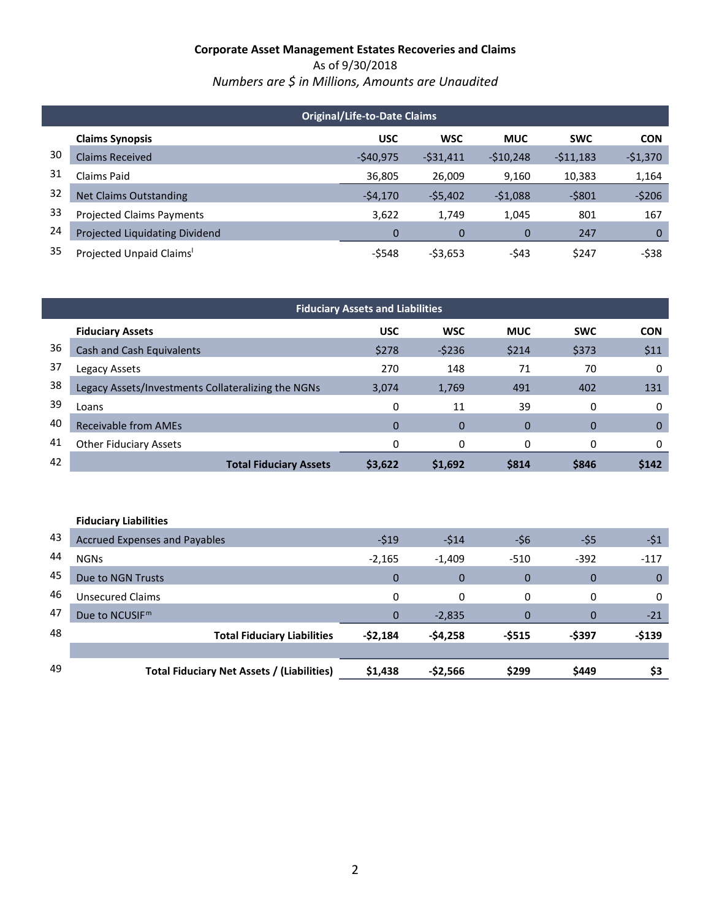As of 9/30/2018 *Numbers are \$ in Millions, Amounts are Unaudited*

|    | <b>Original/Life-to-Date Claims</b> |            |            |            |            |            |  |  |  |
|----|-------------------------------------|------------|------------|------------|------------|------------|--|--|--|
|    | <b>Claims Synopsis</b>              | <b>USC</b> | <b>WSC</b> | <b>MUC</b> | <b>SWC</b> | <b>CON</b> |  |  |  |
| 30 | <b>Claims Received</b>              | $-540,975$ | $-531,411$ | $-510,248$ | $-511,183$ | $-$1,370$  |  |  |  |
| 31 | Claims Paid                         | 36,805     | 26,009     | 9,160      | 10,383     | 1,164      |  |  |  |
| 32 | <b>Net Claims Outstanding</b>       | $-54,170$  | $-55,402$  | $-51,088$  | $-5801$    | $-5206$    |  |  |  |
| 33 | <b>Projected Claims Payments</b>    | 3,622      | 1,749      | 1,045      | 801        | 167        |  |  |  |
| 24 | Projected Liquidating Dividend      | 0          | 0          | 0          | 247        | 0          |  |  |  |
| 35 | Projected Unpaid Claims'            | $-5548$    | $-53,653$  | $-543$     | \$247      | $-538$     |  |  |  |

| <b>Fiduciary Assets and Liabilities</b> |                                                    |             |            |             |            |             |  |  |
|-----------------------------------------|----------------------------------------------------|-------------|------------|-------------|------------|-------------|--|--|
|                                         | <b>Fiduciary Assets</b>                            | <b>USC</b>  | <b>WSC</b> | <b>MUC</b>  | <b>SWC</b> | <b>CON</b>  |  |  |
| 36                                      | Cash and Cash Equivalents                          | \$278       | $-5236$    | \$214       | \$373      | \$11        |  |  |
| 37                                      | Legacy Assets                                      | 270         | 148        | 71          | 70         | 0           |  |  |
| 38                                      | Legacy Assets/Investments Collateralizing the NGNs | 3,074       | 1,769      | 491         | 402        | 131         |  |  |
| 39                                      | Loans                                              | 0           | 11         | 39          | 0          | 0           |  |  |
| 40                                      | <b>Receivable from AMEs</b>                        | $\mathbf 0$ | 0          | $\mathbf 0$ | $\Omega$   | $\mathbf 0$ |  |  |
| 41                                      | <b>Other Fiduciary Assets</b>                      | 0           | 0          | 0           | $\Omega$   | 0           |  |  |
| 42                                      | <b>Total Fiduciary Assets</b>                      | \$3,622     | \$1,692    | \$814       | \$846      | \$142       |  |  |

|    | <b>Fiduciary Liabilities</b>               |              |             |                |          |              |
|----|--------------------------------------------|--------------|-------------|----------------|----------|--------------|
| 43 | <b>Accrued Expenses and Payables</b>       | $-519$       | $-514$      | -\$6           | -\$5     | $-51$        |
| 44 | <b>NGNs</b>                                | $-2,165$     | $-1,409$    | -510           | $-392$   | $-117$       |
| 45 | Due to NGN Trusts                          | $\Omega$     | $\mathbf 0$ | $\overline{0}$ | $\Omega$ | $\mathbf{0}$ |
| 46 | <b>Unsecured Claims</b>                    | 0            | 0           | 0              | 0        | $\Omega$     |
| 47 | Due to NCUSIF <sup>m</sup>                 | $\mathbf{0}$ | $-2,835$    | 0              | $\Omega$ | $-21$        |
| 48 | <b>Total Fiduciary Liabilities</b>         | $-52,184$    | $-54,258$   | $-5515$        | -\$397   | $-$139$      |
|    |                                            |              |             |                |          |              |
| 49 | Total Fiduciary Net Assets / (Liabilities) | \$1,438      | $-52,566$   | \$299          | \$449    | \$3          |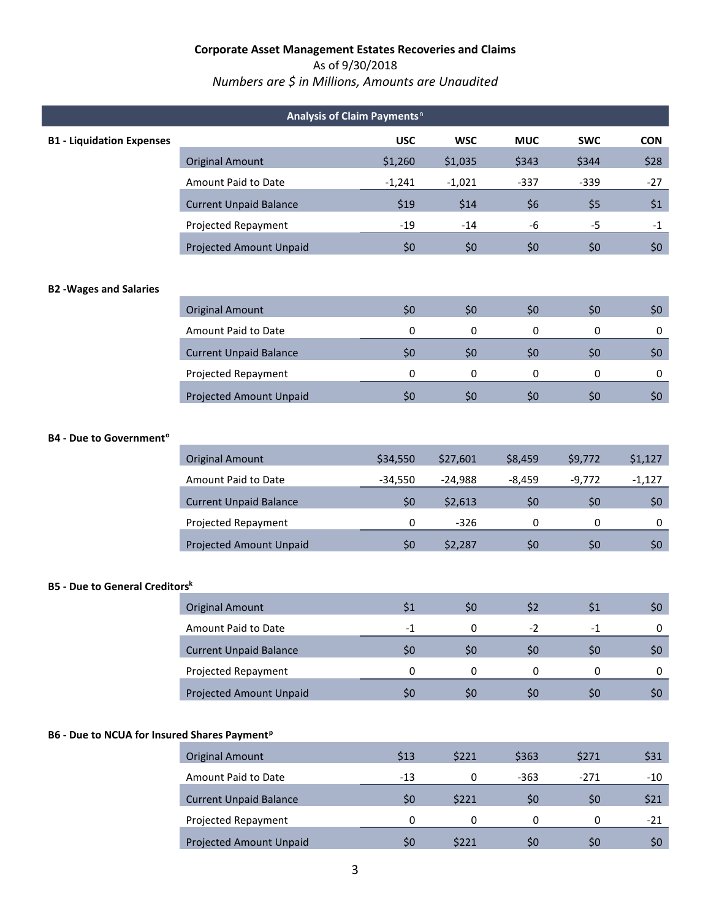As of 9/30/2018

# *Numbers are \$ in Millions, Amounts are Unaudited*

| Analysis of Claim Payments <sup>n</sup>                  |                                |            |            |            |            |            |  |  |
|----------------------------------------------------------|--------------------------------|------------|------------|------------|------------|------------|--|--|
| <b>B1 - Liquidation Expenses</b>                         |                                | <b>USC</b> | <b>WSC</b> | <b>MUC</b> | <b>SWC</b> | <b>CON</b> |  |  |
|                                                          | <b>Original Amount</b>         | \$1,260    | \$1,035    | \$343      | \$344      | \$28       |  |  |
|                                                          | Amount Paid to Date            | $-1,241$   | $-1,021$   | $-337$     | $-339$     | $-27$      |  |  |
|                                                          | <b>Current Unpaid Balance</b>  | \$19       | \$14       | \$6        | \$5        | \$1        |  |  |
|                                                          | Projected Repayment            | $-19$      | $-14$      | -6         | $-5$       | $-1$       |  |  |
|                                                          | <b>Projected Amount Unpaid</b> | \$0        | \$0        | \$0        | \$0        | \$0\$      |  |  |
| <b>B2 -Wages and Salaries</b>                            |                                |            |            |            |            |            |  |  |
|                                                          | <b>Original Amount</b>         | \$0        | \$0        | \$0        | \$0        | \$0\$      |  |  |
|                                                          | Amount Paid to Date            | 0          | 0          | 0          | 0          | 0          |  |  |
|                                                          | <b>Current Unpaid Balance</b>  | \$0        | \$0        | \$0        | \$0        | \$0        |  |  |
|                                                          | Projected Repayment            | 0          | 0          | 0          | 0          | 0          |  |  |
|                                                          | <b>Projected Amount Unpaid</b> | \$0        | \$0        | \$0        | \$0        | \$0\$      |  |  |
| <b>B4 - Due to Government<sup>o</sup></b>                |                                |            |            |            |            |            |  |  |
|                                                          | <b>Original Amount</b>         | \$34,550   | \$27,601   | \$8,459    | \$9,772    | \$1,127    |  |  |
|                                                          | Amount Paid to Date            | $-34,550$  | $-24,988$  | $-8,459$   | $-9,772$   | $-1,127$   |  |  |
|                                                          | <b>Current Unpaid Balance</b>  | \$0        | \$2,613    | \$0        | \$0        | \$0\$      |  |  |
|                                                          | Projected Repayment            | 0          | $-326$     | 0          | 0          | 0          |  |  |
|                                                          | Projected Amount Unpaid        | \$0        | \$2,287    | \$0        | \$0        | \$0\$      |  |  |
| <b>B5 - Due to General Creditorsk</b>                    |                                |            |            |            |            |            |  |  |
|                                                          | <b>Original Amount</b>         | \$1        | \$0        | \$2        | \$1        | \$0\$      |  |  |
|                                                          | Amount Paid to Date            | $-1$       | 0          | $-2$       | $-1$       | 0          |  |  |
|                                                          | <b>Current Unpaid Balance</b>  | \$0        | \$0        | \$0        | \$0\$      | \$0\$      |  |  |
|                                                          | Projected Repayment            | 0          | 0          | 0          | 0          | 0          |  |  |
|                                                          | <b>Projected Amount Unpaid</b> | \$0\$      | \$0\$      | \$0        | \$0        | \$0        |  |  |
| B6 - Due to NCUA for Insured Shares Payment <sup>p</sup> |                                |            |            |            |            |            |  |  |
|                                                          | <b>Original Amount</b>         | \$13       | \$221      | \$363      | \$271      | \$31       |  |  |
|                                                          | Amount Paid to Date            | $-13$      | 0          | $-363$     | $-271$     | $-10$      |  |  |
|                                                          | <b>Current Unpaid Balance</b>  | \$0        | \$221      | \$0        | \$0\$      | \$21       |  |  |
|                                                          | Projected Repayment            | $\pmb{0}$  | 0          | $\pmb{0}$  | 0          | $-21$      |  |  |
|                                                          | <b>Projected Amount Unpaid</b> | \$0        | \$221      | \$0        | \$0        | \$0\$      |  |  |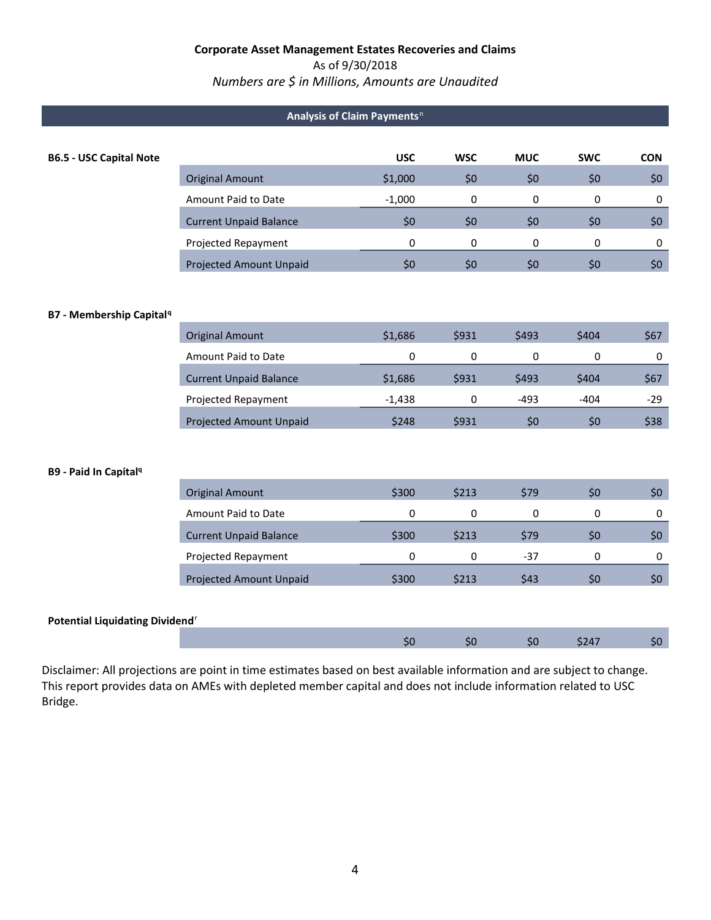### As of 9/30/2018

*Numbers are \$ in Millions, Amounts are Unaudited*

## **A[n](#page-4-19)alysis of Claim Payments**<sup>n</sup>

| <b>B6.5 - USC Capital Note</b>              |                                | <b>USC</b> | <b>WSC</b>  | <b>MUC</b> | <b>SWC</b>  | <b>CON</b> |
|---------------------------------------------|--------------------------------|------------|-------------|------------|-------------|------------|
|                                             | <b>Original Amount</b>         | \$1,000    | \$0         | \$0        | \$0         | \$0        |
|                                             | Amount Paid to Date            | $-1,000$   | $\mathbf 0$ | 0          | 0           | 0          |
|                                             | <b>Current Unpaid Balance</b>  | \$0        | \$0         | \$0        | \$0         | \$0        |
|                                             | Projected Repayment            | 0          | $\mathbf 0$ | 0          | $\mathbf 0$ | 0          |
|                                             | Projected Amount Unpaid        | \$0        | \$0         | \$0        | \$0         | \$0        |
|                                             |                                |            |             |            |             |            |
| <b>B7 - Membership Capital<sup>9</sup></b>  |                                |            |             |            |             |            |
|                                             | <b>Original Amount</b>         | \$1,686    | \$931       | \$493      | \$404       | \$67       |
|                                             | Amount Paid to Date            | 0          | 0           | 0          | 0           | 0          |
|                                             | <b>Current Unpaid Balance</b>  | \$1,686    | \$931       | \$493      | \$404       | \$67       |
|                                             | Projected Repayment            | $-1,438$   | $\mathbf 0$ | $-493$     | $-404$      | $-29$      |
|                                             | <b>Projected Amount Unpaid</b> | \$248      | \$931       | \$0        | \$0         | \$38       |
|                                             |                                |            |             |            |             |            |
| B9 - Paid In Capital <sup>q</sup>           |                                |            |             |            |             |            |
|                                             | <b>Original Amount</b>         | \$300      | \$213       | \$79       | \$0         | \$0        |
|                                             | Amount Paid to Date            | 0          | 0           | 0          | $\pmb{0}$   | $\pmb{0}$  |
|                                             | <b>Current Unpaid Balance</b>  | \$300      | \$213       | \$79       | \$0         | \$0        |
|                                             | Projected Repayment            | 0          | 0           | $-37$      | 0           | 0          |
|                                             | Projected Amount Unpaid        | \$300      | \$213       | \$43       | \$0         | \$0        |
|                                             |                                |            |             |            |             |            |
| Potential Liquidating Dividend <sup>r</sup> |                                |            |             |            |             |            |
|                                             |                                | \$0        | \$0         | \$0        | \$247       | \$0        |

Disclaimer: All projections are point in time estimates based on best available information and are subject to change. This report provides data on AMEs with depleted member capital and does not include information related to USC Bridge.